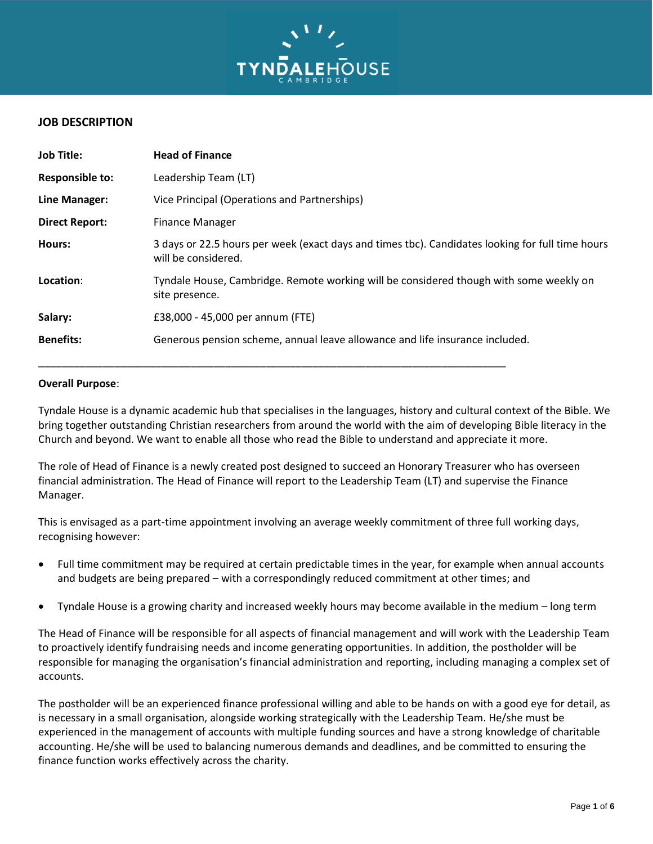

## **JOB DESCRIPTION**

| <b>Job Title:</b>      | <b>Head of Finance</b>                                                                                                  |  |  |
|------------------------|-------------------------------------------------------------------------------------------------------------------------|--|--|
| <b>Responsible to:</b> | Leadership Team (LT)                                                                                                    |  |  |
| Line Manager:          | Vice Principal (Operations and Partnerships)                                                                            |  |  |
| <b>Direct Report:</b>  | <b>Finance Manager</b>                                                                                                  |  |  |
| Hours:                 | 3 days or 22.5 hours per week (exact days and times tbc). Candidates looking for full time hours<br>will be considered. |  |  |
| Location:              | Tyndale House, Cambridge. Remote working will be considered though with some weekly on<br>site presence.                |  |  |
| Salary:                | £38,000 - 45,000 per annum (FTE)                                                                                        |  |  |
| <b>Benefits:</b>       | Generous pension scheme, annual leave allowance and life insurance included.                                            |  |  |

#### **Overall Purpose**:

Tyndale House is a dynamic academic hub that specialises in the languages, history and cultural context of the Bible. We bring together outstanding Christian researchers from around the world with the aim of developing Bible literacy in the Church and beyond. We want to enable all those who read the Bible to understand and appreciate it more.

The role of Head of Finance is a newly created post designed to succeed an Honorary Treasurer who has overseen financial administration. The Head of Finance will report to the Leadership Team (LT) and supervise the Finance Manager.

This is envisaged as a part-time appointment involving an average weekly commitment of three full working days, recognising however:

- Full time commitment may be required at certain predictable times in the year, for example when annual accounts and budgets are being prepared – with a correspondingly reduced commitment at other times; and
- Tyndale House is a growing charity and increased weekly hours may become available in the medium long term

The Head of Finance will be responsible for all aspects of financial management and will work with the Leadership Team to proactively identify fundraising needs and income generating opportunities. In addition, the postholder will be responsible for managing the organisation's financial administration and reporting, including managing a complex set of accounts.

The postholder will be an experienced finance professional willing and able to be hands on with a good eye for detail, as is necessary in a small organisation, alongside working strategically with the Leadership Team. He/she must be experienced in the management of accounts with multiple funding sources and have a strong knowledge of charitable accounting. He/she will be used to balancing numerous demands and deadlines, and be committed to ensuring the finance function works effectively across the charity.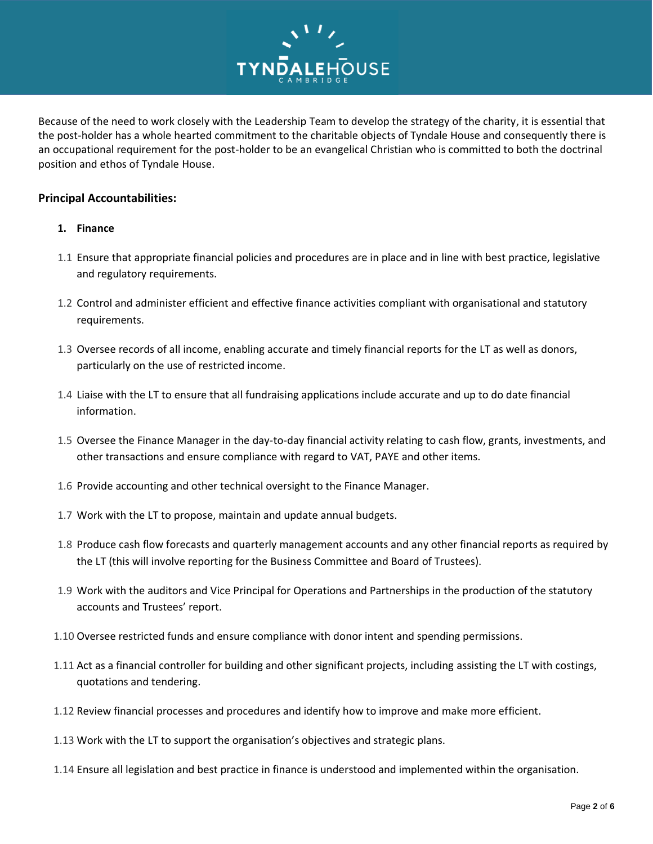

Because of the need to work closely with the Leadership Team to develop the strategy of the charity, it is essential that the post-holder has a whole hearted commitment to the charitable objects of Tyndale House and consequently there is an occupational requirement for the post-holder to be an evangelical Christian who is committed to both the doctrinal position and ethos of Tyndale House.

## **Principal Accountabilities:**

- **1. Finance**
- 1.1 Ensure that appropriate financial policies and procedures are in place and in line with best practice, legislative and regulatory requirements.
- 1.2 Control and administer efficient and effective finance activities compliant with organisational and statutory requirements.
- 1.3 Oversee records of all income, enabling accurate and timely financial reports for the LT as well as donors, particularly on the use of restricted income.
- 1.4 Liaise with the LT to ensure that all fundraising applications include accurate and up to do date financial information.
- 1.5 Oversee the Finance Manager in the day-to-day financial activity relating to cash flow, grants, investments, and other transactions and ensure compliance with regard to VAT, PAYE and other items.
- 1.6 Provide accounting and other technical oversight to the Finance Manager.
- 1.7 Work with the LT to propose, maintain and update annual budgets.
- 1.8 Produce cash flow forecasts and quarterly management accounts and any other financial reports as required by the LT (this will involve reporting for the Business Committee and Board of Trustees).
- 1.9 Work with the auditors and Vice Principal for Operations and Partnerships in the production of the statutory accounts and Trustees' report.
- 1.10 Oversee restricted funds and ensure compliance with donor intent and spending permissions.
- 1.11 Act as a financial controller for building and other significant projects, including assisting the LT with costings, quotations and tendering.
- 1.12 Review financial processes and procedures and identify how to improve and make more efficient.
- 1.13 Work with the LT to support the organisation's objectives and strategic plans.
- 1.14 Ensure all legislation and best practice in finance is understood and implemented within the organisation.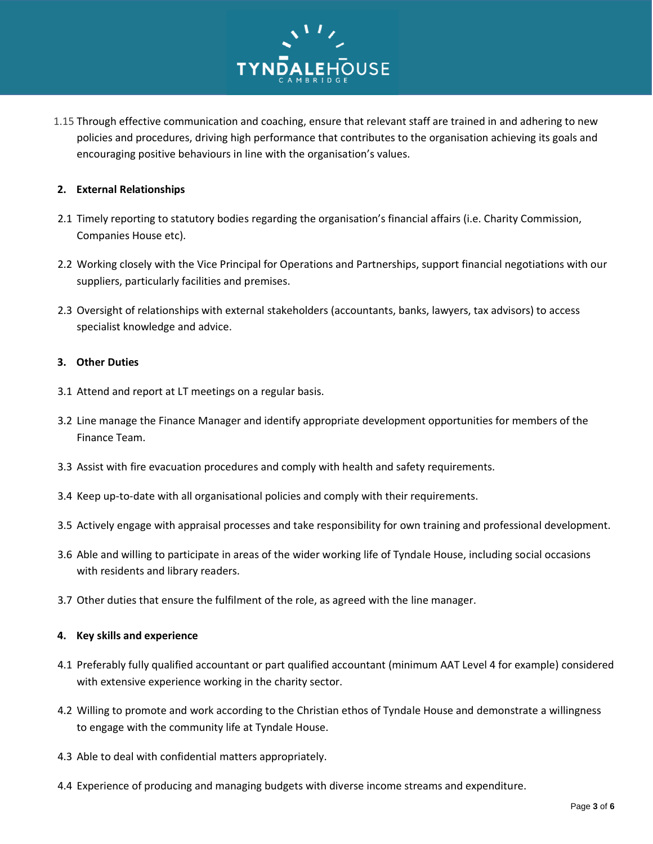

1.15 Through effective communication and coaching, ensure that relevant staff are trained in and adhering to new policies and procedures, driving high performance that contributes to the organisation achieving its goals and encouraging positive behaviours in line with the organisation's values.

#### **2. External Relationships**

- 2.1 Timely reporting to statutory bodies regarding the organisation's financial affairs (i.e. Charity Commission, Companies House etc).
- 2.2 Working closely with the Vice Principal for Operations and Partnerships, support financial negotiations with our suppliers, particularly facilities and premises.
- 2.3 Oversight of relationships with external stakeholders (accountants, banks, lawyers, tax advisors) to access specialist knowledge and advice.

### **3. Other Duties**

- 3.1 Attend and report at LT meetings on a regular basis.
- 3.2 Line manage the Finance Manager and identify appropriate development opportunities for members of the Finance Team.
- 3.3 Assist with fire evacuation procedures and comply with health and safety requirements.
- 3.4 Keep up-to-date with all organisational policies and comply with their requirements.
- 3.5 Actively engage with appraisal processes and take responsibility for own training and professional development.
- 3.6 Able and willing to participate in areas of the wider working life of Tyndale House, including social occasions with residents and library readers.
- 3.7 Other duties that ensure the fulfilment of the role, as agreed with the line manager.

#### **4. Key skills and experience**

- 4.1 Preferably fully qualified accountant or part qualified accountant (minimum AAT Level 4 for example) considered with extensive experience working in the charity sector.
- 4.2 Willing to promote and work according to the Christian ethos of Tyndale House and demonstrate a willingness to engage with the community life at Tyndale House.
- 4.3 Able to deal with confidential matters appropriately.
- 4.4 Experience of producing and managing budgets with diverse income streams and expenditure.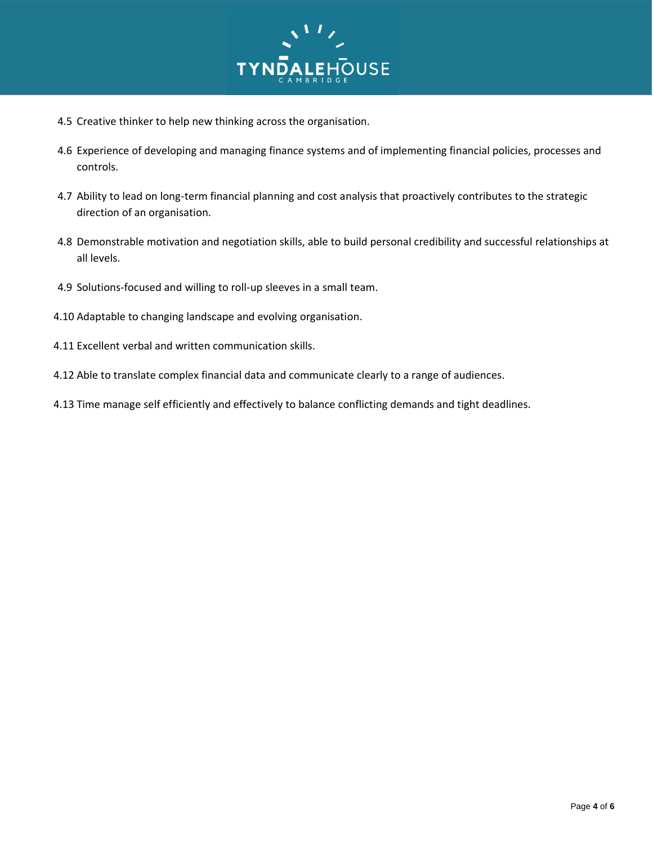

- 4.5 Creative thinker to help new thinking across the organisation.
- 4.6 Experience of developing and managing finance systems and of implementing financial policies, processes and controls.
- 4.7 Ability to lead on long-term financial planning and cost analysis that proactively contributes to the strategic direction of an organisation.
- 4.8 Demonstrable motivation and negotiation skills, able to build personal credibility and successful relationships at all levels.
- 4.9 Solutions-focused and willing to roll-up sleeves in a small team.
- 4.10 Adaptable to changing landscape and evolving organisation.
- 4.11 Excellent verbal and written communication skills.
- 4.12 Able to translate complex financial data and communicate clearly to a range of audiences.
- 4.13 Time manage self efficiently and effectively to balance conflicting demands and tight deadlines.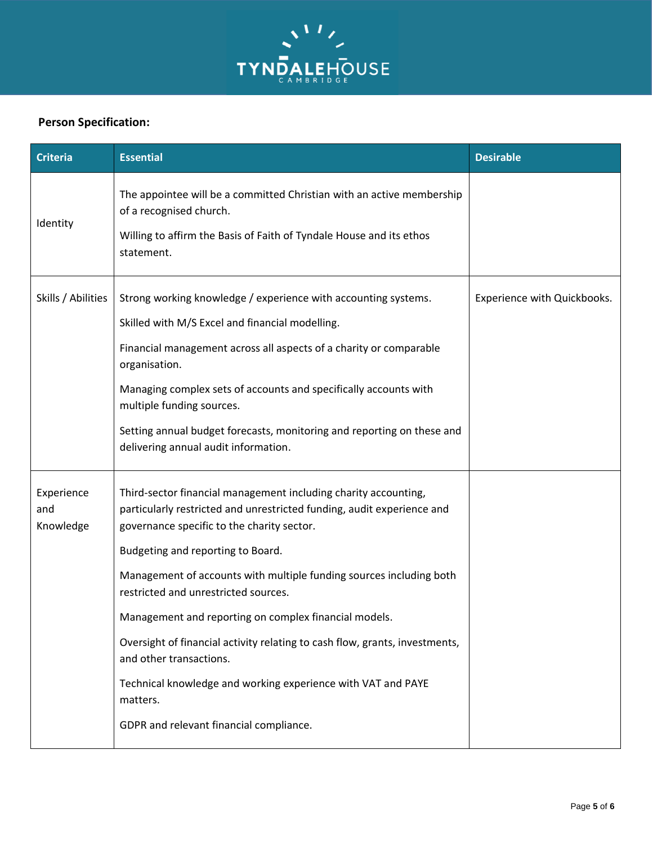

# **Person Specification:**

| <b>Criteria</b>                | <b>Essential</b>                                                                                                                                                                                                                                                                                                                                                                                                                                                                                                                                                                                                                      | <b>Desirable</b>            |
|--------------------------------|---------------------------------------------------------------------------------------------------------------------------------------------------------------------------------------------------------------------------------------------------------------------------------------------------------------------------------------------------------------------------------------------------------------------------------------------------------------------------------------------------------------------------------------------------------------------------------------------------------------------------------------|-----------------------------|
| Identity                       | The appointee will be a committed Christian with an active membership<br>of a recognised church.<br>Willing to affirm the Basis of Faith of Tyndale House and its ethos<br>statement.                                                                                                                                                                                                                                                                                                                                                                                                                                                 |                             |
| Skills / Abilities             | Strong working knowledge / experience with accounting systems.<br>Skilled with M/S Excel and financial modelling.<br>Financial management across all aspects of a charity or comparable<br>organisation.<br>Managing complex sets of accounts and specifically accounts with<br>multiple funding sources.<br>Setting annual budget forecasts, monitoring and reporting on these and<br>delivering annual audit information.                                                                                                                                                                                                           | Experience with Quickbooks. |
| Experience<br>and<br>Knowledge | Third-sector financial management including charity accounting,<br>particularly restricted and unrestricted funding, audit experience and<br>governance specific to the charity sector.<br>Budgeting and reporting to Board.<br>Management of accounts with multiple funding sources including both<br>restricted and unrestricted sources.<br>Management and reporting on complex financial models.<br>Oversight of financial activity relating to cash flow, grants, investments,<br>and other transactions.<br>Technical knowledge and working experience with VAT and PAYE<br>matters.<br>GDPR and relevant financial compliance. |                             |